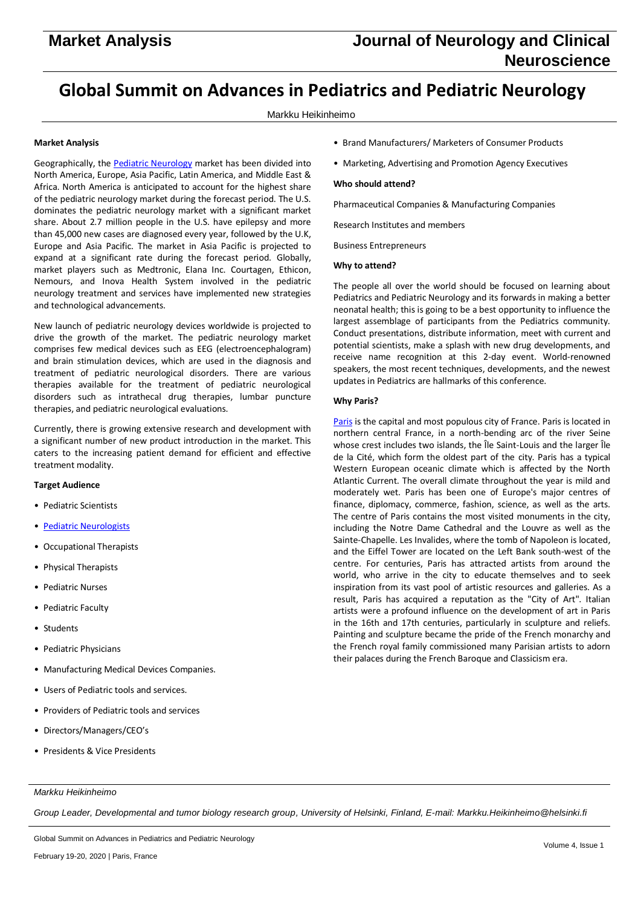# **Global Summit on Advances in Pediatrics and Pediatric Neurology**

# Markku Heikinheimo

# **Market Analysis**

Geographically, th[e Pediatric Neurology](http://pediatric-neurology.pulsusconference.com/) market has been divided into North America, Europe, Asia Pacific, Latin America, and Middle East & Africa. North America is anticipated to account for the highest share of the pediatric neurology market during the forecast period. The U.S. dominates the pediatric neurology market with a significant market share. About 2.7 million people in the U.S. have epilepsy and more than 45,000 new cases are diagnosed every year, followed by the U.K, Europe and Asia Pacific. The market in Asia Pacific is projected to expand at a significant rate during the forecast period. Globally, market players such as Medtronic, Elana Inc. Courtagen, Ethicon, Nemours, and Inova Health System involved in the pediatric neurology treatment and services have implemented new strategies and technological advancements.

New launch of pediatric neurology devices worldwide is projected to drive the growth of the market. The pediatric neurology market comprises few medical devices such as EEG (electroencephalogram) and brain stimulation devices, which are used in the diagnosis and treatment of pediatric neurological disorders. There are various therapies available for the treatment of pediatric neurological disorders such as intrathecal drug therapies, lumbar puncture therapies, and pediatric neurological evaluations.

Currently, there is growing extensive research and development with a significant number of new product introduction in the market. This caters to the increasing patient demand for efficient and effective treatment modality.

#### **Target Audience**

- Pediatric Scientists
- [Pediatric Neurologists](http://pediatric-neurology.pulsusconference.com/)
- Occupational Therapists
- Physical Therapists
- Pediatric Nurses
- Pediatric Faculty
- Students
- Pediatric Physicians
- Manufacturing Medical Devices Companies.
- Users of Pediatric tools and services.
- Providers of Pediatric tools and services
- Directors/Managers/CEO's
- Presidents & Vice Presidents
- Brand Manufacturers/ Marketers of Consumer Products
- Marketing, Advertising and Promotion Agency Executives

## **Who should attend?**

Pharmaceutical Companies & Manufacturing Companies

Research Institutes and members

Business Entrepreneurs

### **Why to attend?**

The people all over the world should be focused on learning about Pediatrics and Pediatric Neurology and its forwards in making a better neonatal health; this is going to be a best opportunity to influence the largest assemblage of participants from the Pediatrics community. Conduct presentations, distribute information, meet with current and potential scientists, make a splash with new drug developments, and receive name recognition at this 2-day event. World-renowned speakers, the most recent techniques, developments, and the newest updates in Pediatrics are hallmarks of this conference.

#### **Why Paris?**

[Paris](http://pediatric-neurology.pulsusconference.com/) is the capital and most populous city of France. Paris is located in northern central France, in a north-bending arc of the river Seine whose crest includes two islands, the Île Saint-Louis and the larger Île de la Cité, which form the oldest part of the city. Paris has a typical Western European oceanic climate which is affected by the North Atlantic Current. The overall climate throughout the year is mild and moderately wet. Paris has been one of Europe's major centres of finance, diplomacy, commerce, fashion, science, as well as the arts. The centre of Paris contains the most visited monuments in the city, including the Notre Dame Cathedral and the Louvre as well as the Sainte-Chapelle. Les Invalides, where the tomb of Napoleon is located, and the Eiffel Tower are located on the Left Bank south-west of the centre. For centuries, Paris has attracted artists from around the world, who arrive in the city to educate themselves and to seek inspiration from its vast pool of artistic resources and galleries. As a result, Paris has acquired a reputation as the "City of Art". Italian artists were a profound influence on the development of art in Paris in the 16th and 17th centuries, particularly in sculpture and reliefs. Painting and sculpture became the pride of the French monarchy and the French royal family commissioned many Parisian artists to adorn their palaces during the French Baroque and Classicism era.

#### *Markku Heikinheimo*

*Group Leader, Developmental and tumor biology research group, University of Helsinki, Finland, E-mail: Markku.Heikinheimo@helsinki.fi*

Global Summit on Advances in Pediatrics and Pediatric Neurology